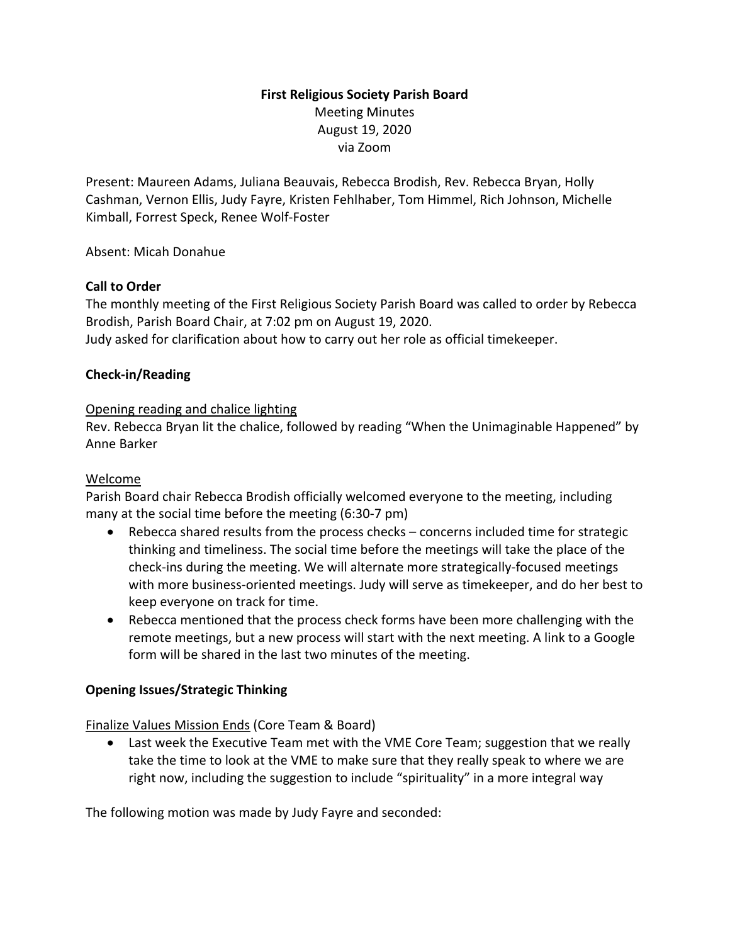# **First Religious Society Parish Board** Meeting Minutes August 19, 2020 via Zoom

Present: Maureen Adams, Juliana Beauvais, Rebecca Brodish, Rev. Rebecca Bryan, Holly Cashman, Vernon Ellis, Judy Fayre, Kristen Fehlhaber, Tom Himmel, Rich Johnson, Michelle Kimball, Forrest Speck, Renee Wolf-Foster

Absent: Micah Donahue

### **Call to Order**

The monthly meeting of the First Religious Society Parish Board was called to order by Rebecca Brodish, Parish Board Chair, at 7:02 pm on August 19, 2020. Judy asked for clarification about how to carry out her role as official timekeeper.

### **Check-in/Reading**

### Opening reading and chalice lighting

Rev. Rebecca Bryan lit the chalice, followed by reading "When the Unimaginable Happened" by Anne Barker

#### Welcome

Parish Board chair Rebecca Brodish officially welcomed everyone to the meeting, including many at the social time before the meeting (6:30-7 pm)

- Rebecca shared results from the process checks concerns included time for strategic thinking and timeliness. The social time before the meetings will take the place of the check-ins during the meeting. We will alternate more strategically-focused meetings with more business-oriented meetings. Judy will serve as timekeeper, and do her best to keep everyone on track for time.
- Rebecca mentioned that the process check forms have been more challenging with the remote meetings, but a new process will start with the next meeting. A link to a Google form will be shared in the last two minutes of the meeting.

#### **Opening Issues/Strategic Thinking**

Finalize Values Mission Ends (Core Team & Board)

• Last week the Executive Team met with the VME Core Team; suggestion that we really take the time to look at the VME to make sure that they really speak to where we are right now, including the suggestion to include "spirituality" in a more integral way

The following motion was made by Judy Fayre and seconded: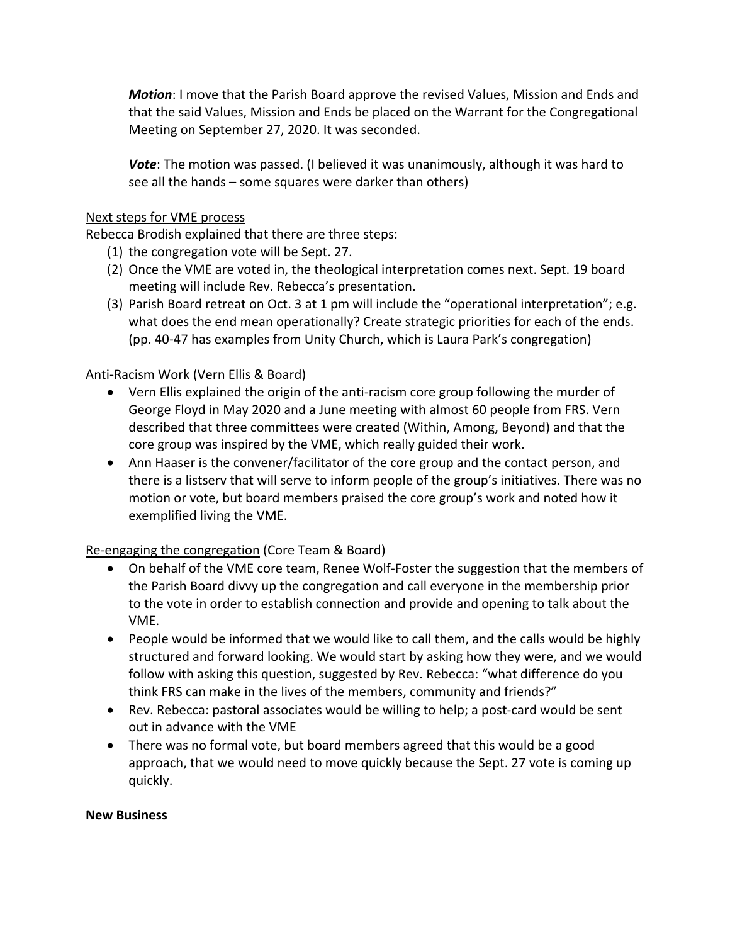*Motion*: I move that the Parish Board approve the revised Values, Mission and Ends and that the said Values, Mission and Ends be placed on the Warrant for the Congregational Meeting on September 27, 2020. It was seconded.

*Vote*: The motion was passed. (I believed it was unanimously, although it was hard to see all the hands – some squares were darker than others)

### Next steps for VME process

Rebecca Brodish explained that there are three steps:

- (1) the congregation vote will be Sept. 27.
- (2) Once the VME are voted in, the theological interpretation comes next. Sept. 19 board meeting will include Rev. Rebecca's presentation.
- (3) Parish Board retreat on Oct. 3 at 1 pm will include the "operational interpretation"; e.g. what does the end mean operationally? Create strategic priorities for each of the ends. (pp. 40-47 has examples from Unity Church, which is Laura Park's congregation)

# Anti-Racism Work (Vern Ellis & Board)

- Vern Ellis explained the origin of the anti-racism core group following the murder of George Floyd in May 2020 and a June meeting with almost 60 people from FRS. Vern described that three committees were created (Within, Among, Beyond) and that the core group was inspired by the VME, which really guided their work.
- Ann Haaser is the convener/facilitator of the core group and the contact person, and there is a listserv that will serve to inform people of the group's initiatives. There was no motion or vote, but board members praised the core group's work and noted how it exemplified living the VME.

# Re-engaging the congregation (Core Team & Board)

- On behalf of the VME core team, Renee Wolf-Foster the suggestion that the members of the Parish Board divvy up the congregation and call everyone in the membership prior to the vote in order to establish connection and provide and opening to talk about the VME.
- People would be informed that we would like to call them, and the calls would be highly structured and forward looking. We would start by asking how they were, and we would follow with asking this question, suggested by Rev. Rebecca: "what difference do you think FRS can make in the lives of the members, community and friends?"
- Rev. Rebecca: pastoral associates would be willing to help; a post-card would be sent out in advance with the VME
- There was no formal vote, but board members agreed that this would be a good approach, that we would need to move quickly because the Sept. 27 vote is coming up quickly.

#### **New Business**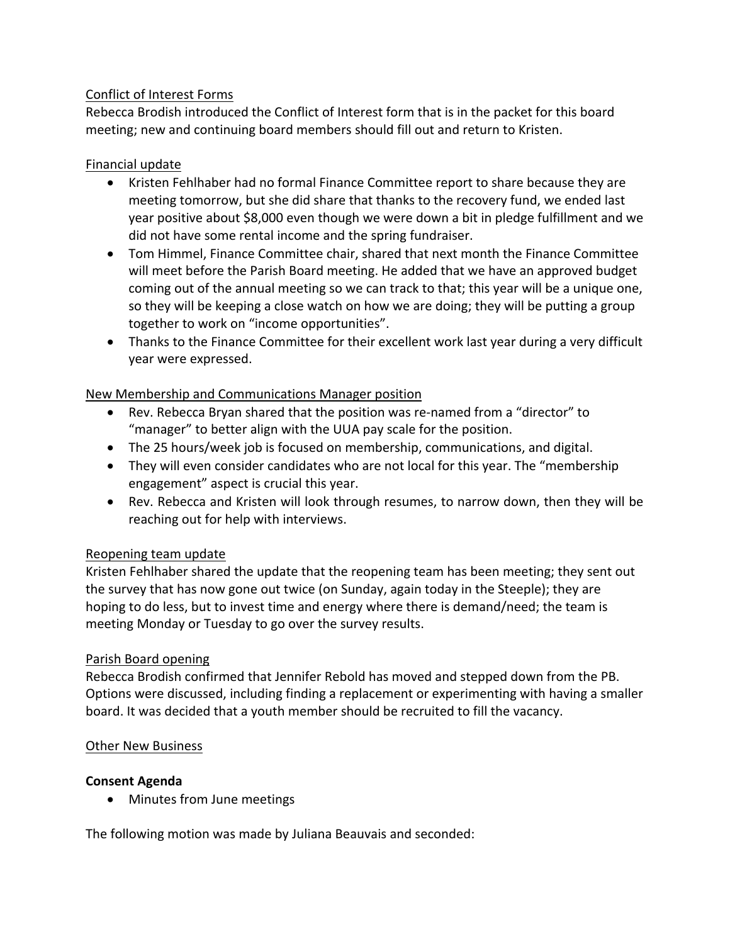# Conflict of Interest Forms

Rebecca Brodish introduced the Conflict of Interest form that is in the packet for this board meeting; new and continuing board members should fill out and return to Kristen.

# Financial update

- Kristen Fehlhaber had no formal Finance Committee report to share because they are meeting tomorrow, but she did share that thanks to the recovery fund, we ended last year positive about \$8,000 even though we were down a bit in pledge fulfillment and we did not have some rental income and the spring fundraiser.
- Tom Himmel, Finance Committee chair, shared that next month the Finance Committee will meet before the Parish Board meeting. He added that we have an approved budget coming out of the annual meeting so we can track to that; this year will be a unique one, so they will be keeping a close watch on how we are doing; they will be putting a group together to work on "income opportunities".
- Thanks to the Finance Committee for their excellent work last year during a very difficult year were expressed.

# New Membership and Communications Manager position

- Rev. Rebecca Bryan shared that the position was re-named from a "director" to "manager" to better align with the UUA pay scale for the position.
- The 25 hours/week job is focused on membership, communications, and digital.
- They will even consider candidates who are not local for this year. The "membership engagement" aspect is crucial this year.
- Rev. Rebecca and Kristen will look through resumes, to narrow down, then they will be reaching out for help with interviews.

# Reopening team update

Kristen Fehlhaber shared the update that the reopening team has been meeting; they sent out the survey that has now gone out twice (on Sunday, again today in the Steeple); they are hoping to do less, but to invest time and energy where there is demand/need; the team is meeting Monday or Tuesday to go over the survey results.

# Parish Board opening

Rebecca Brodish confirmed that Jennifer Rebold has moved and stepped down from the PB. Options were discussed, including finding a replacement or experimenting with having a smaller board. It was decided that a youth member should be recruited to fill the vacancy.

# **Other New Business**

# **Consent Agenda**

• Minutes from June meetings

The following motion was made by Juliana Beauvais and seconded: